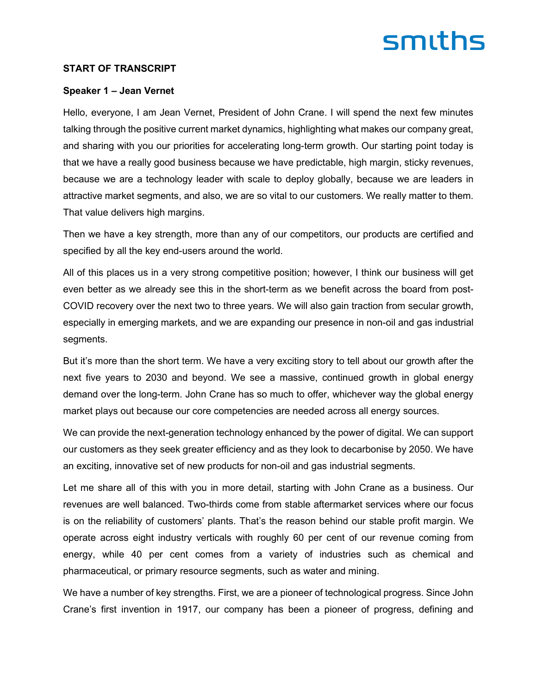#### **START OF TRANSCRIPT**

#### **Speaker 1 – Jean Vernet**

Hello, everyone, I am Jean Vernet, President of John Crane. I will spend the next few minutes talking through the positive current market dynamics, highlighting what makes our company great, and sharing with you our priorities for accelerating long-term growth. Our starting point today is that we have a really good business because we have predictable, high margin, sticky revenues, because we are a technology leader with scale to deploy globally, because we are leaders in attractive market segments, and also, we are so vital to our customers. We really matter to them. That value delivers high margins.

Then we have a key strength, more than any of our competitors, our products are certified and specified by all the key end-users around the world.

All of this places us in a very strong competitive position; however, I think our business will get even better as we already see this in the short-term as we benefit across the board from post-COVID recovery over the next two to three years. We will also gain traction from secular growth, especially in emerging markets, and we are expanding our presence in non-oil and gas industrial segments.

But it's more than the short term. We have a very exciting story to tell about our growth after the next five years to 2030 and beyond. We see a massive, continued growth in global energy demand over the long-term. John Crane has so much to offer, whichever way the global energy market plays out because our core competencies are needed across all energy sources.

We can provide the next-generation technology enhanced by the power of digital. We can support our customers as they seek greater efficiency and as they look to decarbonise by 2050. We have an exciting, innovative set of new products for non-oil and gas industrial segments.

Let me share all of this with you in more detail, starting with John Crane as a business. Our revenues are well balanced. Two-thirds come from stable aftermarket services where our focus is on the reliability of customers' plants. That's the reason behind our stable profit margin. We operate across eight industry verticals with roughly 60 per cent of our revenue coming from energy, while 40 per cent comes from a variety of industries such as chemical and pharmaceutical, or primary resource segments, such as water and mining.

We have a number of key strengths. First, we are a pioneer of technological progress. Since John Crane's first invention in 1917, our company has been a pioneer of progress, defining and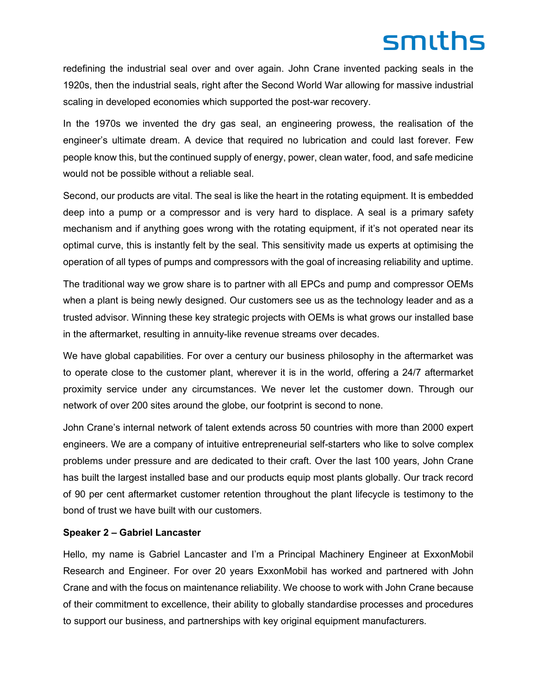redefining the industrial seal over and over again. John Crane invented packing seals in the 1920s, then the industrial seals, right after the Second World War allowing for massive industrial scaling in developed economies which supported the post-war recovery.

In the 1970s we invented the dry gas seal, an engineering prowess, the realisation of the engineer's ultimate dream. A device that required no lubrication and could last forever. Few people know this, but the continued supply of energy, power, clean water, food, and safe medicine would not be possible without a reliable seal.

Second, our products are vital. The seal is like the heart in the rotating equipment. It is embedded deep into a pump or a compressor and is very hard to displace. A seal is a primary safety mechanism and if anything goes wrong with the rotating equipment, if it's not operated near its optimal curve, this is instantly felt by the seal. This sensitivity made us experts at optimising the operation of all types of pumps and compressors with the goal of increasing reliability and uptime.

The traditional way we grow share is to partner with all EPCs and pump and compressor OEMs when a plant is being newly designed. Our customers see us as the technology leader and as a trusted advisor. Winning these key strategic projects with OEMs is what grows our installed base in the aftermarket, resulting in annuity-like revenue streams over decades.

We have global capabilities. For over a century our business philosophy in the aftermarket was to operate close to the customer plant, wherever it is in the world, offering a 24/7 aftermarket proximity service under any circumstances. We never let the customer down. Through our network of over 200 sites around the globe, our footprint is second to none.

John Crane's internal network of talent extends across 50 countries with more than 2000 expert engineers. We are a company of intuitive entrepreneurial self-starters who like to solve complex problems under pressure and are dedicated to their craft. Over the last 100 years, John Crane has built the largest installed base and our products equip most plants globally. Our track record of 90 per cent aftermarket customer retention throughout the plant lifecycle is testimony to the bond of trust we have built with our customers.

#### **Speaker 2 – Gabriel Lancaster**

Hello, my name is Gabriel Lancaster and I'm a Principal Machinery Engineer at ExxonMobil Research and Engineer. For over 20 years ExxonMobil has worked and partnered with John Crane and with the focus on maintenance reliability. We choose to work with John Crane because of their commitment to excellence, their ability to globally standardise processes and procedures to support our business, and partnerships with key original equipment manufacturers.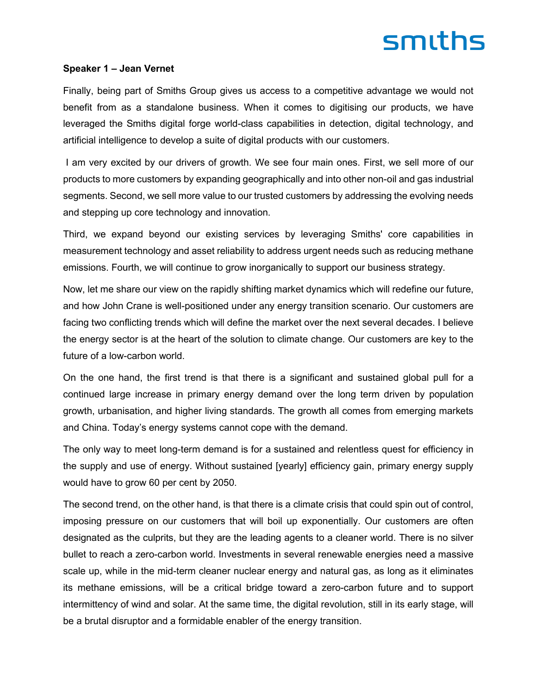#### **Speaker 1 – Jean Vernet**

Finally, being part of Smiths Group gives us access to a competitive advantage we would not benefit from as a standalone business. When it comes to digitising our products, we have leveraged the Smiths digital forge world-class capabilities in detection, digital technology, and artificial intelligence to develop a suite of digital products with our customers.

I am very excited by our drivers of growth. We see four main ones. First, we sell more of our products to more customers by expanding geographically and into other non-oil and gas industrial segments. Second, we sell more value to our trusted customers by addressing the evolving needs and stepping up core technology and innovation.

Third, we expand beyond our existing services by leveraging Smiths' core capabilities in measurement technology and asset reliability to address urgent needs such as reducing methane emissions. Fourth, we will continue to grow inorganically to support our business strategy.

Now, let me share our view on the rapidly shifting market dynamics which will redefine our future, and how John Crane is well-positioned under any energy transition scenario. Our customers are facing two conflicting trends which will define the market over the next several decades. I believe the energy sector is at the heart of the solution to climate change. Our customers are key to the future of a low-carbon world.

On the one hand, the first trend is that there is a significant and sustained global pull for a continued large increase in primary energy demand over the long term driven by population growth, urbanisation, and higher living standards. The growth all comes from emerging markets and China. Today's energy systems cannot cope with the demand.

The only way to meet long-term demand is for a sustained and relentless quest for efficiency in the supply and use of energy. Without sustained [yearly] efficiency gain, primary energy supply would have to grow 60 per cent by 2050.

The second trend, on the other hand, is that there is a climate crisis that could spin out of control, imposing pressure on our customers that will boil up exponentially. Our customers are often designated as the culprits, but they are the leading agents to a cleaner world. There is no silver bullet to reach a zero-carbon world. Investments in several renewable energies need a massive scale up, while in the mid-term cleaner nuclear energy and natural gas, as long as it eliminates its methane emissions, will be a critical bridge toward a zero-carbon future and to support intermittency of wind and solar. At the same time, the digital revolution, still in its early stage, will be a brutal disruptor and a formidable enabler of the energy transition.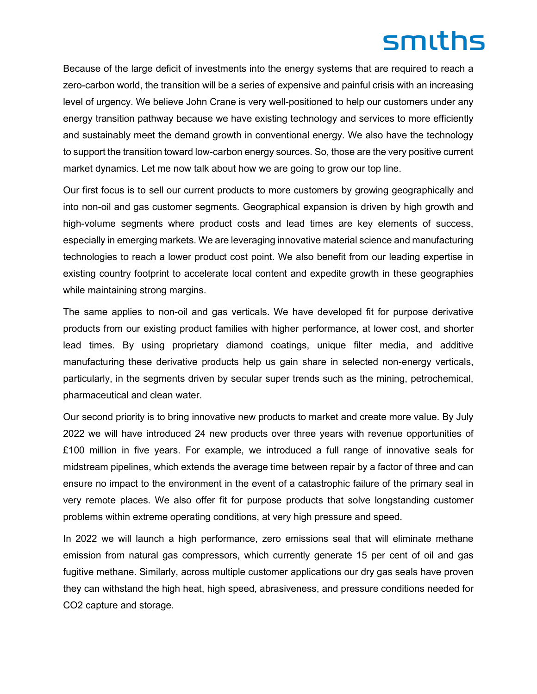Because of the large deficit of investments into the energy systems that are required to reach a zero-carbon world, the transition will be a series of expensive and painful crisis with an increasing level of urgency. We believe John Crane is very well-positioned to help our customers under any energy transition pathway because we have existing technology and services to more efficiently and sustainably meet the demand growth in conventional energy. We also have the technology to support the transition toward low-carbon energy sources. So, those are the very positive current market dynamics. Let me now talk about how we are going to grow our top line.

Our first focus is to sell our current products to more customers by growing geographically and into non-oil and gas customer segments. Geographical expansion is driven by high growth and high-volume segments where product costs and lead times are key elements of success, especially in emerging markets. We are leveraging innovative material science and manufacturing technologies to reach a lower product cost point. We also benefit from our leading expertise in existing country footprint to accelerate local content and expedite growth in these geographies while maintaining strong margins.

The same applies to non-oil and gas verticals. We have developed fit for purpose derivative products from our existing product families with higher performance, at lower cost, and shorter lead times. By using proprietary diamond coatings, unique filter media, and additive manufacturing these derivative products help us gain share in selected non-energy verticals, particularly, in the segments driven by secular super trends such as the mining, petrochemical, pharmaceutical and clean water.

Our second priority is to bring innovative new products to market and create more value. By July 2022 we will have introduced 24 new products over three years with revenue opportunities of £100 million in five years. For example, we introduced a full range of innovative seals for midstream pipelines, which extends the average time between repair by a factor of three and can ensure no impact to the environment in the event of a catastrophic failure of the primary seal in very remote places. We also offer fit for purpose products that solve longstanding customer problems within extreme operating conditions, at very high pressure and speed.

In 2022 we will launch a high performance, zero emissions seal that will eliminate methane emission from natural gas compressors, which currently generate 15 per cent of oil and gas fugitive methane. Similarly, across multiple customer applications our dry gas seals have proven they can withstand the high heat, high speed, abrasiveness, and pressure conditions needed for CO2 capture and storage.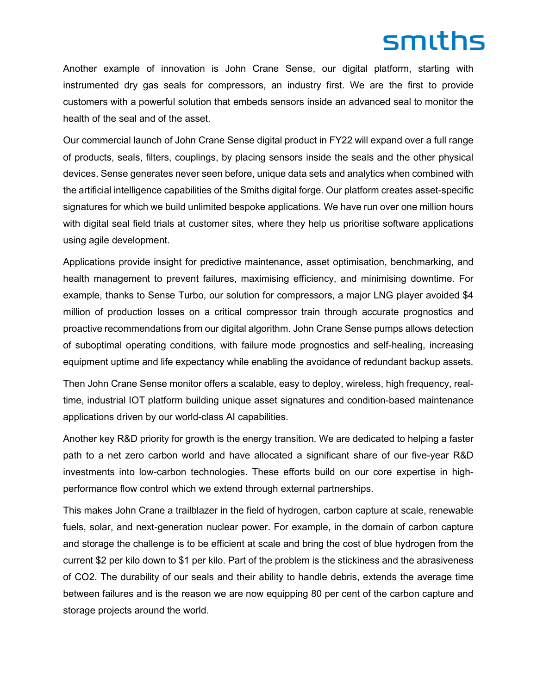Another example of innovation is John Crane Sense, our digital platform, starting with instrumented dry gas seals for compressors, an industry first. We are the first to provide customers with a powerful solution that embeds sensors inside an advanced seal to monitor the health of the seal and of the asset.

Our commercial launch of John Crane Sense digital product in FY22 will expand over a full range of products, seals, filters, couplings, by placing sensors inside the seals and the other physical devices. Sense generates never seen before, unique data sets and analytics when combined with the artificial intelligence capabilities of the Smiths digital forge. Our platform creates asset-specific signatures for which we build unlimited bespoke applications. We have run over one million hours with digital seal field trials at customer sites, where they help us prioritise software applications using agile development.

Applications provide insight for predictive maintenance, asset optimisation, benchmarking, and health management to prevent failures, maximising efficiency, and minimising downtime. For example, thanks to Sense Turbo, our solution for compressors, a major LNG player avoided \$4 million of production losses on a critical compressor train through accurate prognostics and proactive recommendations from our digital algorithm. John Crane Sense pumps allows detection of suboptimal operating conditions, with failure mode prognostics and self-healing, increasing equipment uptime and life expectancy while enabling the avoidance of redundant backup assets.

Then John Crane Sense monitor offers a scalable, easy to deploy, wireless, high frequency, realtime, industrial IOT platform building unique asset signatures and condition-based maintenance applications driven by our world-class AI capabilities.

Another key R&D priority for growth is the energy transition. We are dedicated to helping a faster path to a net zero carbon world and have allocated a significant share of our five-year R&D investments into low-carbon technologies. These efforts build on our core expertise in highperformance flow control which we extend through external partnerships.

This makes John Crane a trailblazer in the field of hydrogen, carbon capture at scale, renewable fuels, solar, and next-generation nuclear power. For example, in the domain of carbon capture and storage the challenge is to be efficient at scale and bring the cost of blue hydrogen from the current \$2 per kilo down to \$1 per kilo. Part of the problem is the stickiness and the abrasiveness of CO2. The durability of our seals and their ability to handle debris, extends the average time between failures and is the reason we are now equipping 80 per cent of the carbon capture and storage projects around the world.